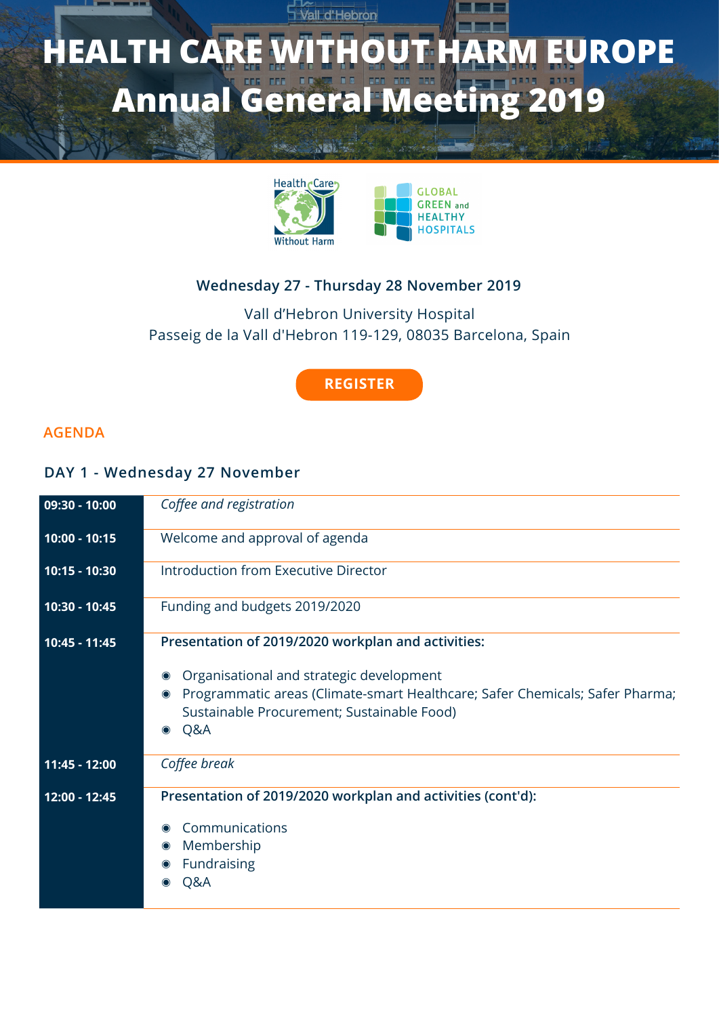# **F** Vall d'Hebron **HEALTH CARE WITHOUT HARM EUROPE Annual General Meeting 2019**





## **Wednesday 27 - Thursday 28 November 2019**

## Vall d'Hebron University Hospital Passeig de la Vall d'Hebron 119-129, 08035 Barcelona, Spain

#### **[REGISTER](http://bit.ly/2pv78uD)**

#### **AGENDA**

#### **DAY 1 - Wednesday 27 November**

| 09:30 - 10:00 | Coffee and registration                                                                                                                                                                                                                                                    |
|---------------|----------------------------------------------------------------------------------------------------------------------------------------------------------------------------------------------------------------------------------------------------------------------------|
| 10:00 - 10:15 | Welcome and approval of agenda                                                                                                                                                                                                                                             |
| 10:15 - 10:30 | Introduction from Executive Director                                                                                                                                                                                                                                       |
| 10:30 - 10:45 | Funding and budgets 2019/2020                                                                                                                                                                                                                                              |
| 10:45 - 11:45 | Presentation of 2019/2020 workplan and activities:<br>Organisational and strategic development<br>$\bullet$<br>Programmatic areas (Climate-smart Healthcare; Safer Chemicals; Safer Pharma;<br>$\bullet$<br>Sustainable Procurement; Sustainable Food)<br>Q&A<br>$\bullet$ |
| 11:45 - 12:00 | Coffee break                                                                                                                                                                                                                                                               |
| 12:00 - 12:45 | Presentation of 2019/2020 workplan and activities (cont'd):<br>Communications<br>$\bullet$<br>Membership<br>$\bullet$<br>Fundraising<br>Q&A<br>$\bullet$                                                                                                                   |